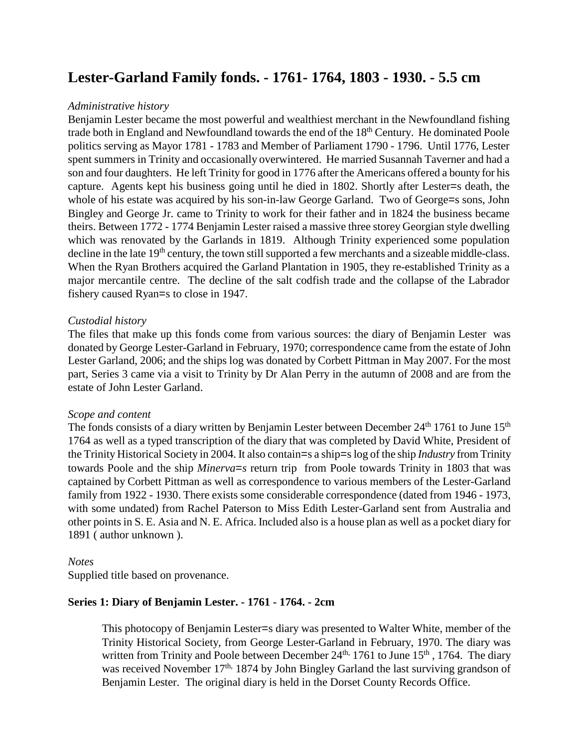# **Lester-Garland Family fonds. - 1761- 1764, 1803 - 1930. - 5.5 cm**

# *Administrative history*

Benjamin Lester became the most powerful and wealthiest merchant in the Newfoundland fishing trade both in England and Newfoundland towards the end of the 18<sup>th</sup> Century. He dominated Poole politics serving as Mayor 1781 - 1783 and Member of Parliament 1790 - 1796. Until 1776, Lester spent summers in Trinity and occasionally overwintered. He married Susannah Taverner and had a son and four daughters. He left Trinity for good in 1776 after the Americans offered a bounty for his capture. Agents kept his business going until he died in 1802. Shortly after Lester=s death, the whole of his estate was acquired by his son-in-law George Garland. Two of George=s sons, John Bingley and George Jr. came to Trinity to work for their father and in 1824 the business became theirs. Between 1772 - 1774 Benjamin Lester raised a massive three storey Georgian style dwelling which was renovated by the Garlands in 1819. Although Trinity experienced some population decline in the late 19<sup>th</sup> century, the town still supported a few merchants and a sizeable middle-class. When the Ryan Brothers acquired the Garland Plantation in 1905, they re-established Trinity as a major mercantile centre. The decline of the salt codfish trade and the collapse of the Labrador fishery caused Ryan=s to close in 1947.

## *Custodial history*

The files that make up this fonds come from various sources: the diary of Benjamin Lester was donated by George Lester-Garland in February, 1970; correspondence came from the estate of John Lester Garland, 2006; and the ships log was donated by Corbett Pittman in May 2007. For the most part, Series 3 came via a visit to Trinity by Dr Alan Perry in the autumn of 2008 and are from the estate of John Lester Garland.

#### *Scope and content*

The fonds consists of a diary written by Benjamin Lester between December 24<sup>th</sup> 1761 to June 15<sup>th</sup> 1764 as well as a typed transcription of the diary that was completed by David White, President of the Trinity Historical Society in 2004. It also contain=s a ship=s log of the ship *Industry* from Trinity towards Poole and the ship *Minerva=s* return trip from Poole towards Trinity in 1803 that was captained by Corbett Pittman as well as correspondence to various members of the Lester-Garland family from 1922 - 1930. There exists some considerable correspondence (dated from 1946 - 1973, with some undated) from Rachel Paterson to Miss Edith Lester-Garland sent from Australia and other points in S. E. Asia and N. E. Africa. Included also is a house plan as well as a pocket diary for 1891 ( author unknown ).

#### *Notes*

Supplied title based on provenance.

# **Series 1: Diary of Benjamin Lester. - 1761 - 1764. - 2cm**

This photocopy of Benjamin Lester=s diary was presented to Walter White, member of the Trinity Historical Society, from George Lester-Garland in February, 1970. The diary was written from Trinity and Poole between December  $24<sup>th</sup>$ , 1761 to June  $15<sup>th</sup>$ , 1764. The diary was received November  $17<sup>th</sup>$ , 1874 by John Bingley Garland the last surviving grandson of Benjamin Lester. The original diary is held in the Dorset County Records Office.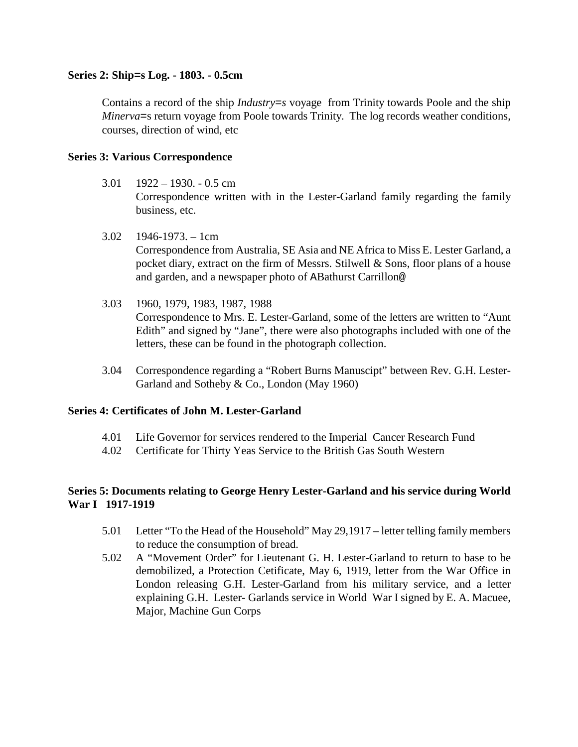# **Series 2: Ship=s Log. - 1803. - 0.5cm**

Contains a record of the ship *Industry=s* voyage from Trinity towards Poole and the ship *Minerva*=s return voyage from Poole towards Trinity. The log records weather conditions, courses, direction of wind, etc

## **Series 3: Various Correspondence**

- $3.01$  1922 1930. 0.5 cm Correspondence written with in the Lester-Garland family regarding the family business, etc.
- $3.02$  1946-1973. 1cm

Correspondence from Australia, SE Asia and NE Africa to Miss E. Lester Garland, a pocket diary, extract on the firm of Messrs. Stilwell & Sons, floor plans of a house and garden, and a newspaper photo of ABathurst Carrillon@

- 3.03 1960, 1979, 1983, 1987, 1988 Correspondence to Mrs. E. Lester-Garland, some of the letters are written to "Aunt Edith" and signed by "Jane", there were also photographs included with one of the letters, these can be found in the photograph collection.
- 3.04 Correspondence regarding a "Robert Burns Manuscipt" between Rev. G.H. Lester-Garland and Sotheby & Co., London (May 1960)

#### **Series 4: Certificates of John M. Lester-Garland**

- 4.01 Life Governor for services rendered to the Imperial Cancer Research Fund
- 4.02 Certificate for Thirty Yeas Service to the British Gas South Western

# **Series 5: Documents relating to George Henry Lester-Garland and his service during World War I 1917-1919**

- 5.01 Letter "To the Head of the Household" May 29,1917 letter telling family members to reduce the consumption of bread.
- 5.02 A "Movement Order" for Lieutenant G. H. Lester-Garland to return to base to be demobilized, a Protection Cetificate, May 6, 1919, letter from the War Office in London releasing G.H. Lester-Garland from his military service, and a letter explaining G.H. Lester- Garlands service in World War I signed by E. A. Macuee, Major, Machine Gun Corps